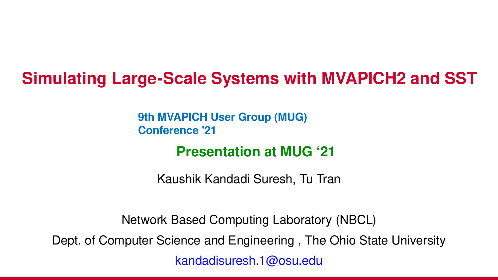#### **Simulating Large-Scale Systems with MVAPICH2 and SST**

**9th MVAPICH User Group (MUG) Conference '21**

**Presentation at MUG '21**

Kaushik Kandadi Suresh, Tu Tran

Network Based Computing Laboratory (NBCL) Dept. of Computer Science and Engineering , The Ohio State University kandadisuresh.1@osu.edu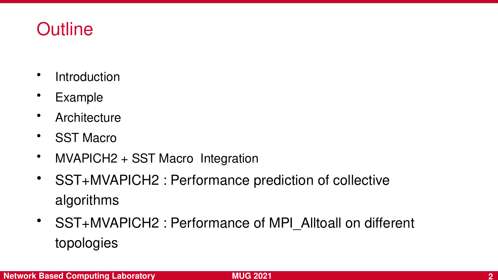#### **Outline**

- Introduction
- Example
- Architecture
- SST Macro
- MVAPICH2 + SST Macro Integration
- SST+MVAPICH2 : Performance prediction of collective algorithms
- SST+MVAPICH2: Performance of MPI\_Alltoall on different topologies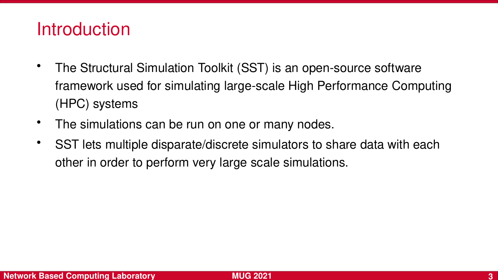#### **Introduction**

- The Structural Simulation Toolkit (SST) is an open-source software framework used for simulating large-scale High Performance Computing (HPC) systems
- The simulations can be run on one or many nodes.
- SST lets multiple disparate/discrete simulators to share data with each other in order to perform very large scale simulations.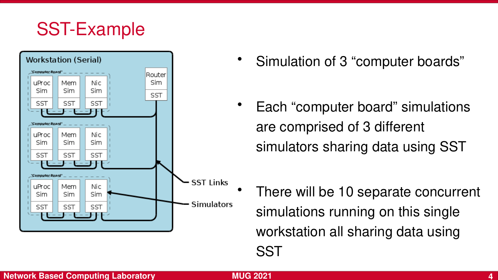#### SST-Example



• Simulation of 3 "computer boards"

Each "computer board" simulations are comprised of 3 different simulators sharing data using SST

There will be 10 separate concurrent simulations running on this single workstation all sharing data using **SST**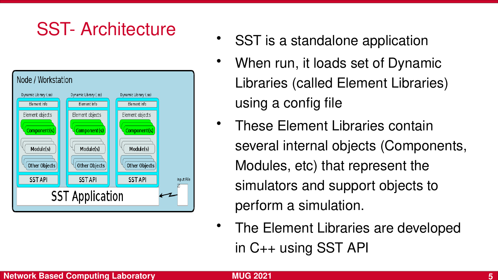# SST- Architecture



- SST is a standalone application
- When run, it loads set of Dynamic Libraries (called Element Libraries) using a config file
- These Element Libraries contain several internal objects (Components, Modules, etc) that represent the simulators and support objects to perform a simulation.
- The Element Libraries are developed in C++ using SST API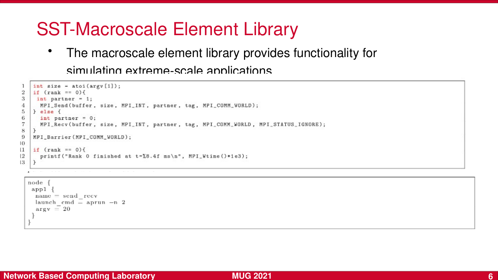#### SST-Macroscale Element Library

The macroscale element library provides functionality for

simulating extreme-scale applications.

```
int size = atio(argv[1]):\overline{2}if (rank == 0)int partner = 1;
3
      MPI_Send(buffer, size, MPI_INT, partner, tag, MPI_COMM_WORLD);
\overline{4}5
    \} else \{6
      int partner = 0;
\overline{7}MPI_Recv(buffer, size, MPI_INT, partner, tag, MPI_COMM_WORLD, MPI_STATUS_IGNORE);
8
    \rightarrow9
    MPI_Barrier(MPI_COMM_WORLD);
10
    if (rank == 0)\mathbf{1}\mathbf{L}printf("Rank 0 finished at t=%8.4f ms\n", MPI_Wtime()*1e3);
13
    \mathcal{F}
```
node {  $app1$  $name = send recv$ launch cmd  $=$  aprun -n 2  $\text{arg } v = 20$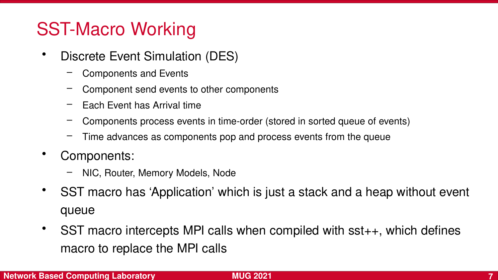# SST-Macro Working

- Discrete Event Simulation (DES)
	- Components and Events
	- Component send events to other components
	- Each Event has Arrival time
	- Components process events in time-order (stored in sorted queue of events)
	- Time advances as components pop and process events from the queue
- Components:
	- NIC, Router, Memory Models, Node
- SST macro has 'Application' which is just a stack and a heap without event queue
- SST macro intercepts MPI calls when compiled with sst<sub>++</sub>, which defines macro to replace the MPI calls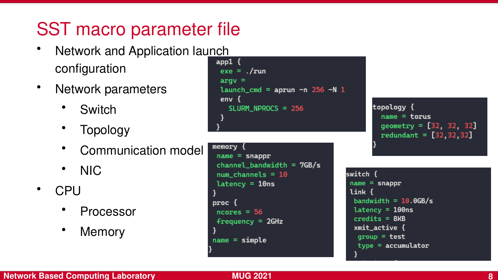# SST macro parameter file

- Network and Application launch configuration
- Network parameters
	- Switch
	- **Topology**
	- Communication model
	- NIC
- CPU
	- **Processor**
	- Memory

```
exe = ./runarav =Launch\_cmd = aprun -n 256 -N 1env {
    SLURM_NPROCS = 256memory {
 name = snapprchannel bandwidth = 7GB/snum channels = 10
 latency = 10ns}
proc<sub>f</sub>ncores = 56frequency = 2GHz
name = simple
```
topology {  $name = torus$ geometry =  $[32, 32, 32]$  $redundant = [32 32 32]$ 

#### switch {

```
name = snapperlink {
 bandwidth = 10.0GB/s
 latency = 100nscredits = 8KBxmit_active {
  group = testtype = account
```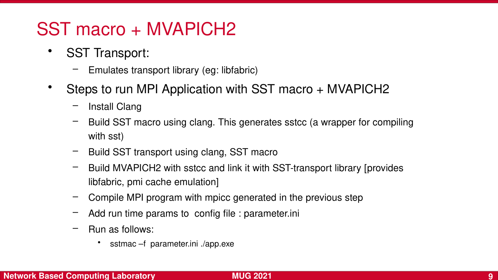## SST macro + MVAPICH2

- SST Transport:
	- Emulates transport library (eg: libfabric)
- Steps to run MPI Application with SST macro + MVAPICH2
	- Install Clang
	- Build SST macro using clang. This generates sstcc (a wrapper for compiling with sst)
	- Build SST transport using clang, SST macro
	- Build MVAPICH2 with sstcc and link it with SST-transport library [provides libfabric, pmi cache emulation]
	- Compile MPI program with mpicc generated in the previous step
	- Add run time params to config file : parameter.ini
	- Run as follows:
		- sstmac –f parameter.ini ./app.exe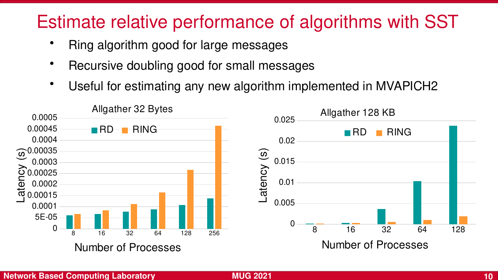#### Estimate relative performance of algorithms with SST

- Ring algorithm good for large messages
- Recursive doubling good for small messages
- Useful for estimating any new algorithm implemented in MVAPICH2

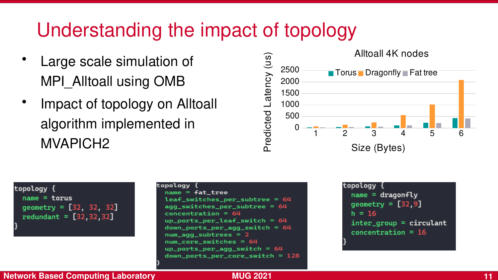# Understanding the impact of topology

- Large scale simulation of MPI\_Alltoall using OMB
- Impact of topology on Alltoall algorithm implemented in MVAPICH2



| topology {     |                            |  |
|----------------|----------------------------|--|
| $name = torus$ |                            |  |
|                | geometry = $[32, 32, 32]$  |  |
|                | $redundant = [32, 32, 32]$ |  |
|                |                            |  |

| υμυτυγγι           |  |  |
|--------------------|--|--|
| $name = fat\_tree$ |  |  |
| leaf_switches_pe   |  |  |
| agg_switches_per   |  |  |
| $concentration =$  |  |  |

 $up\_ports\_per\_leaf\_switch = 64$  $down\_ports\_per\_agg\_switch = 64$  $num\_agg\_subtrees = 2$  $num\_core\_switches = 64$  $up\_ports\_per\_agg\_switch = 64$ down\_ports\_per\_core\_switch = 128

topology {  $name = dragonflv$ qeometry =  $[32.9]$  $h = 16$  $inter\_group = circulant$ concentration =  $16$ 

r subtree = 64

 $subtree = 64$